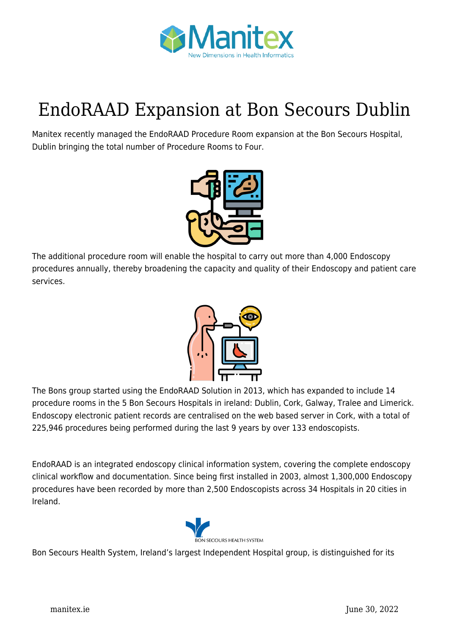

## [EndoRAAD Expansion at Bon Secours Dublin](https://manitex.ie/news/endoradd-expansion-at-bon-secours-dublin/)

Manitex recently managed the EndoRAAD Procedure Room expansion at the Bon Secours Hospital, Dublin bringing the total number of Procedure Rooms to Four.



The additional procedure room will enable the hospital to carry out more than 4,000 Endoscopy procedures annually, thereby broadening the capacity and quality of their Endoscopy and patient care services.



The Bons group started using the EndoRAAD Solution in 2013, which has expanded to include 14 procedure rooms in the 5 Bon Secours Hospitals in ireland: Dublin, Cork, Galway, Tralee and Limerick. Endoscopy electronic patient records are centralised on the web based server in Cork, with a total of 225,946 procedures being performed during the last 9 years by over 133 endoscopists.

EndoRAAD is an integrated endoscopy clinical information system, covering the complete endoscopy clinical workflow and documentation. Since being first installed in 2003, almost 1,300,000 Endoscopy procedures have been recorded by more than 2,500 Endoscopists across 34 Hospitals in 20 cities in Ireland.



Bon Secours Health System, Ireland's largest Independent Hospital group, is distinguished for its